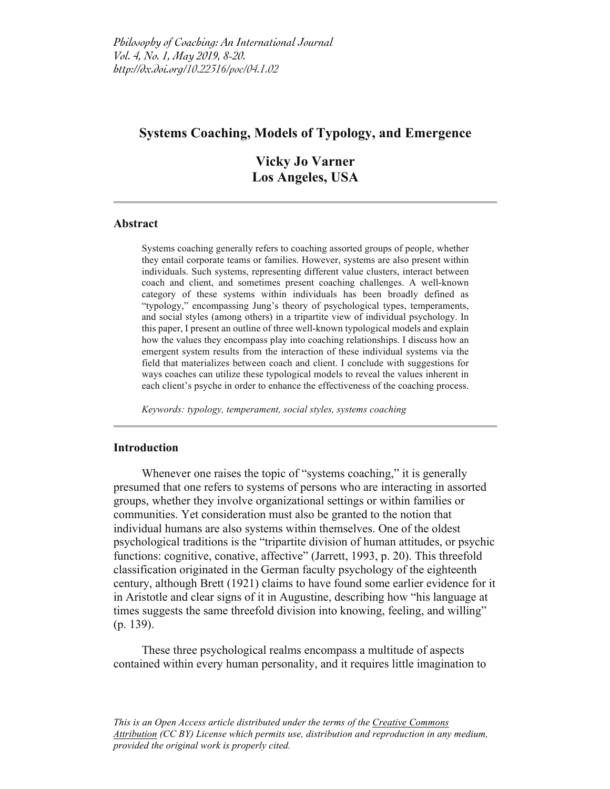# **Systems Coaching, Models of Typology, and Emergence**

**Vicky Jo Varner Los Angeles, USA**

#### **Abstract**

Systems coaching generally refers to coaching assorted groups of people, whether they entail corporate teams or families. However, systems are also present within individuals. Such systems, representing different value clusters, interact between coach and client, and sometimes present coaching challenges. A well-known category of these systems within individuals has been broadly defined as "typology," encompassing Jung's theory of psychological types, temperaments, and social styles (among others) in a tripartite view of individual psychology. In this paper, I present an outline of three well-known typological models and explain how the values they encompass play into coaching relationships. I discuss how an emergent system results from the interaction of these individual systems via the field that materializes between coach and client. I conclude with suggestions for ways coaches can utilize these typological models to reveal the values inherent in each client's psyche in order to enhance the effectiveness of the coaching process.

*Keywords: typology, temperament, social styles, systems coaching*

#### **Introduction**

Whenever one raises the topic of "systems coaching," it is generally presumed that one refers to systems of persons who are interacting in assorted groups, whether they involve organizational settings or within families or communities. Yet consideration must also be granted to the notion that individual humans are also systems within themselves. One of the oldest psychological traditions is the "tripartite division of human attitudes, or psychic functions: cognitive, conative, affective" (Jarrett, 1993, p. 20). This threefold classification originated in the German faculty psychology of the eighteenth century, although Brett (1921) claims to have found some earlier evidence for it in Aristotle and clear signs of it in Augustine, describing how "his language at times suggests the same threefold division into knowing, feeling, and willing" (p. 139).

These three psychological realms encompass a multitude of aspects contained within every human personality, and it requires little imagination to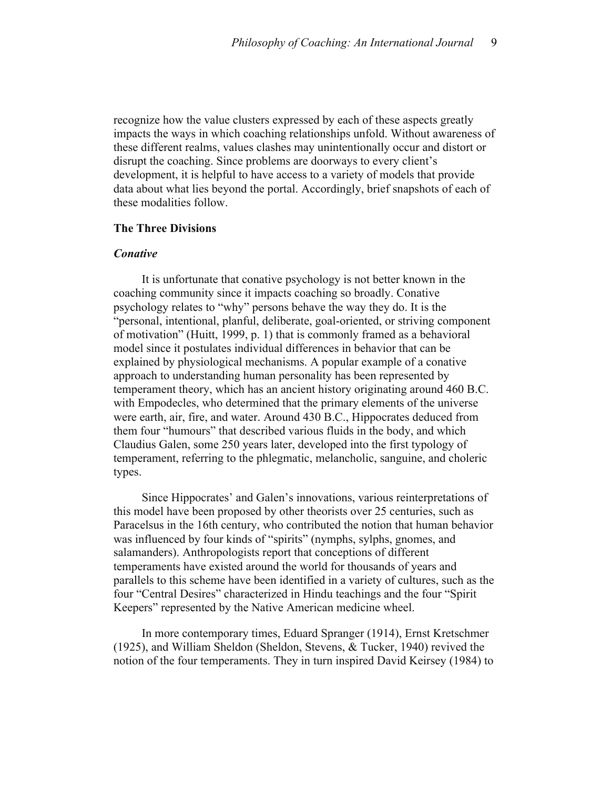recognize how the value clusters expressed by each of these aspects greatly impacts the ways in which coaching relationships unfold. Without awareness of these different realms, values clashes may unintentionally occur and distort or disrupt the coaching. Since problems are doorways to every client's development, it is helpful to have access to a variety of models that provide data about what lies beyond the portal. Accordingly, brief snapshots of each of these modalities follow.

#### **The Three Divisions**

#### *Conative*

It is unfortunate that conative psychology is not better known in the coaching community since it impacts coaching so broadly. Conative psychology relates to "why" persons behave the way they do. It is the "personal, intentional, planful, deliberate, goal-oriented, or striving component of motivation" (Huitt, 1999, p. 1) that is commonly framed as a behavioral model since it postulates individual differences in behavior that can be explained by physiological mechanisms. A popular example of a conative approach to understanding human personality has been represented by temperament theory, which has an ancient history originating around 460 B.C. with Empodecles, who determined that the primary elements of the universe were earth, air, fire, and water. Around 430 B.C., Hippocrates deduced from them four "humours" that described various fluids in the body, and which Claudius Galen, some 250 years later, developed into the first typology of temperament, referring to the phlegmatic, melancholic, sanguine, and choleric types.

Since Hippocrates' and Galen's innovations, various reinterpretations of this model have been proposed by other theorists over 25 centuries, such as Paracelsus in the 16th century, who contributed the notion that human behavior was influenced by four kinds of "spirits" (nymphs, sylphs, gnomes, and salamanders). Anthropologists report that conceptions of different temperaments have existed around the world for thousands of years and parallels to this scheme have been identified in a variety of cultures, such as the four "Central Desires" characterized in Hindu teachings and the four "Spirit Keepers" represented by the Native American medicine wheel.

In more contemporary times, Eduard Spranger (1914), Ernst Kretschmer (1925), and William Sheldon (Sheldon, Stevens, & Tucker, 1940) revived the notion of the four temperaments. They in turn inspired David Keirsey (1984) to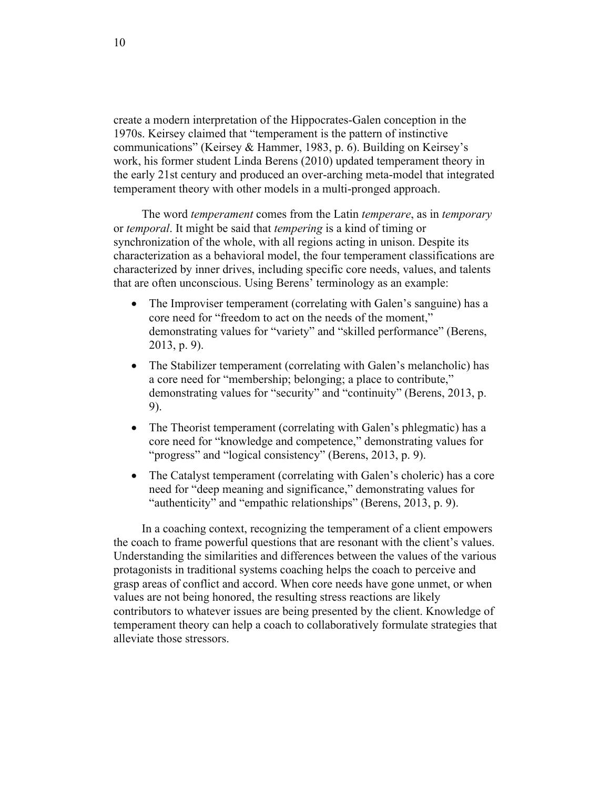create a modern interpretation of the Hippocrates-Galen conception in the 1970s. Keirsey claimed that "temperament is the pattern of instinctive communications" (Keirsey & Hammer, 1983, p. 6). Building on Keirsey's work, his former student Linda Berens (2010) updated temperament theory in the early 21st century and produced an over-arching meta-model that integrated temperament theory with other models in a multi-pronged approach.

The word *temperament* comes from the Latin *temperare*, as in *temporary* or *temporal*. It might be said that *tempering* is a kind of timing or synchronization of the whole, with all regions acting in unison. Despite its characterization as a behavioral model, the four temperament classifications are characterized by inner drives, including specific core needs, values, and talents that are often unconscious. Using Berens' terminology as an example:

- The Improviser temperament (correlating with Galen's sanguine) has a core need for "freedom to act on the needs of the moment," demonstrating values for "variety" and "skilled performance" (Berens, 2013, p. 9).
- The Stabilizer temperament (correlating with Galen's melancholic) has a core need for "membership; belonging; a place to contribute," demonstrating values for "security" and "continuity" (Berens, 2013, p. 9).
- The Theorist temperament (correlating with Galen's phlegmatic) has a core need for "knowledge and competence," demonstrating values for "progress" and "logical consistency" (Berens, 2013, p. 9).
- The Catalyst temperament (correlating with Galen's choleric) has a core need for "deep meaning and significance," demonstrating values for "authenticity" and "empathic relationships" (Berens, 2013, p. 9).

In a coaching context, recognizing the temperament of a client empowers the coach to frame powerful questions that are resonant with the client's values. Understanding the similarities and differences between the values of the various protagonists in traditional systems coaching helps the coach to perceive and grasp areas of conflict and accord. When core needs have gone unmet, or when values are not being honored, the resulting stress reactions are likely contributors to whatever issues are being presented by the client. Knowledge of temperament theory can help a coach to collaboratively formulate strategies that alleviate those stressors.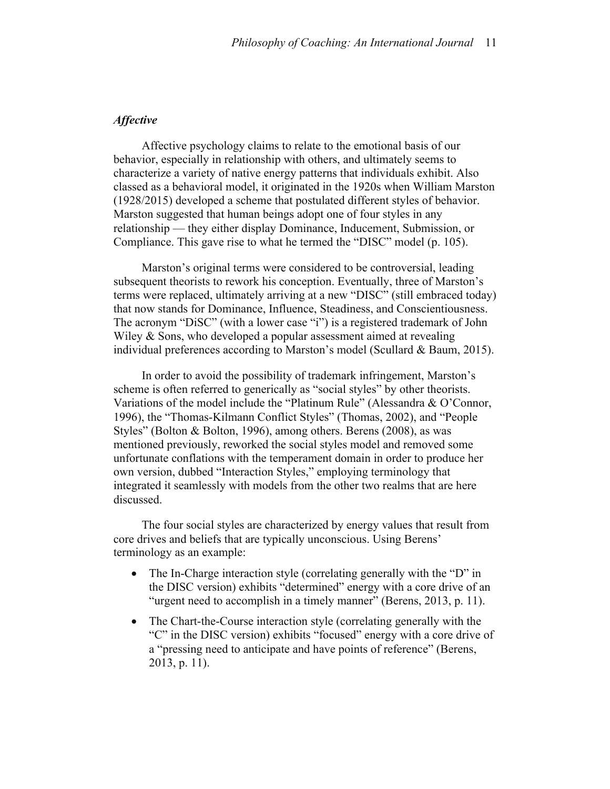## *Affective*

Affective psychology claims to relate to the emotional basis of our behavior, especially in relationship with others, and ultimately seems to characterize a variety of native energy patterns that individuals exhibit. Also classed as a behavioral model, it originated in the 1920s when William Marston (1928/2015) developed a scheme that postulated different styles of behavior. Marston suggested that human beings adopt one of four styles in any relationship — they either display Dominance, Inducement, Submission, or Compliance. This gave rise to what he termed the "DISC" model (p. 105).

Marston's original terms were considered to be controversial, leading subsequent theorists to rework his conception. Eventually, three of Marston's terms were replaced, ultimately arriving at a new "DISC" (still embraced today) that now stands for Dominance, Influence, Steadiness, and Conscientiousness. The acronym "DiSC" (with a lower case "i") is a registered trademark of John Wiley & Sons, who developed a popular assessment aimed at revealing individual preferences according to Marston's model (Scullard  $\&$  Baum, 2015).

In order to avoid the possibility of trademark infringement, Marston's scheme is often referred to generically as "social styles" by other theorists. Variations of the model include the "Platinum Rule" (Alessandra & O'Connor, 1996), the "Thomas-Kilmann Conflict Styles" (Thomas, 2002), and "People Styles" (Bolton & Bolton, 1996), among others. Berens (2008), as was mentioned previously, reworked the social styles model and removed some unfortunate conflations with the temperament domain in order to produce her own version, dubbed "Interaction Styles," employing terminology that integrated it seamlessly with models from the other two realms that are here discussed.

The four social styles are characterized by energy values that result from core drives and beliefs that are typically unconscious. Using Berens' terminology as an example:

- The In-Charge interaction style (correlating generally with the "D" in the DISC version) exhibits "determined" energy with a core drive of an "urgent need to accomplish in a timely manner" (Berens, 2013, p. 11).
- The Chart-the-Course interaction style (correlating generally with the "C" in the DISC version) exhibits "focused" energy with a core drive of a "pressing need to anticipate and have points of reference" (Berens, 2013, p. 11).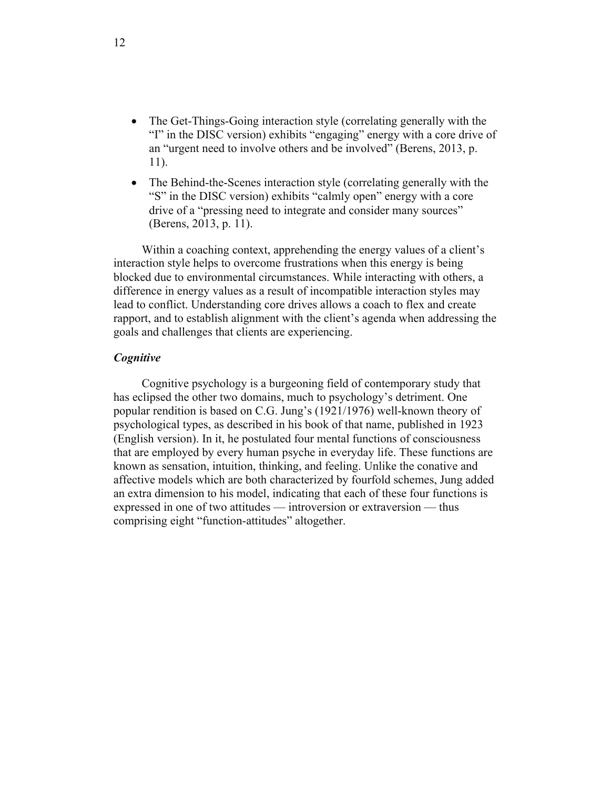- The Get-Things-Going interaction style (correlating generally with the "I" in the DISC version) exhibits "engaging" energy with a core drive of an "urgent need to involve others and be involved" (Berens, 2013, p. 11).
- The Behind-the-Scenes interaction style (correlating generally with the "S" in the DISC version) exhibits "calmly open" energy with a core drive of a "pressing need to integrate and consider many sources" (Berens, 2013, p. 11).

Within a coaching context, apprehending the energy values of a client's interaction style helps to overcome frustrations when this energy is being blocked due to environmental circumstances. While interacting with others, a difference in energy values as a result of incompatible interaction styles may lead to conflict. Understanding core drives allows a coach to flex and create rapport, and to establish alignment with the client's agenda when addressing the goals and challenges that clients are experiencing.

#### *Cognitive*

Cognitive psychology is a burgeoning field of contemporary study that has eclipsed the other two domains, much to psychology's detriment. One popular rendition is based on C.G. Jung's (1921/1976) well-known theory of psychological types, as described in his book of that name, published in 1923 (English version). In it, he postulated four mental functions of consciousness that are employed by every human psyche in everyday life. These functions are known as sensation, intuition, thinking, and feeling. Unlike the conative and affective models which are both characterized by fourfold schemes, Jung added an extra dimension to his model, indicating that each of these four functions is expressed in one of two attitudes — introversion or extraversion — thus comprising eight "function-attitudes" altogether.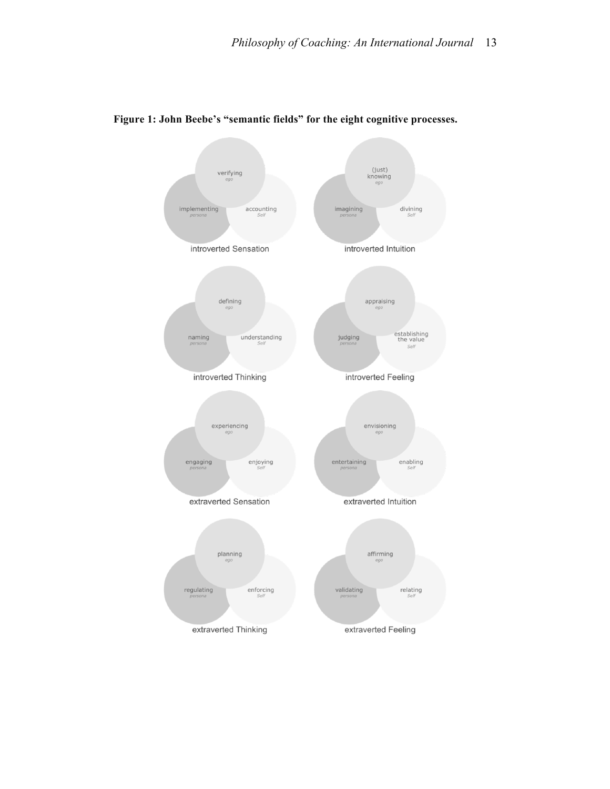

#### **Figure 1: John Beebe's "semantic fields" for the eight cognitive processes.**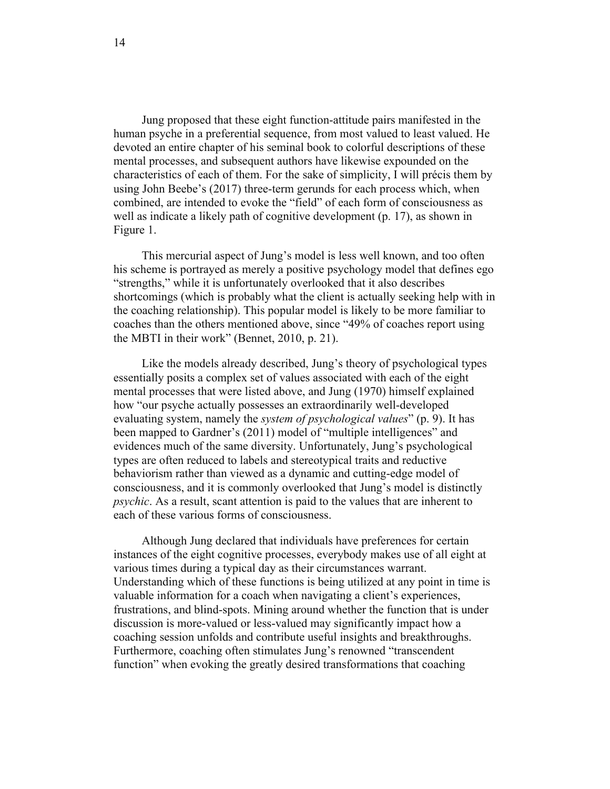Jung proposed that these eight function-attitude pairs manifested in the human psyche in a preferential sequence, from most valued to least valued. He devoted an entire chapter of his seminal book to colorful descriptions of these mental processes, and subsequent authors have likewise expounded on the characteristics of each of them. For the sake of simplicity, I will précis them by using John Beebe's (2017) three-term gerunds for each process which, when combined, are intended to evoke the "field" of each form of consciousness as well as indicate a likely path of cognitive development (p. 17), as shown in Figure 1.

This mercurial aspect of Jung's model is less well known, and too often his scheme is portrayed as merely a positive psychology model that defines ego "strengths," while it is unfortunately overlooked that it also describes shortcomings (which is probably what the client is actually seeking help with in the coaching relationship). This popular model is likely to be more familiar to coaches than the others mentioned above, since "49% of coaches report using the MBTI in their work" (Bennet, 2010, p. 21).

Like the models already described, Jung's theory of psychological types essentially posits a complex set of values associated with each of the eight mental processes that were listed above, and Jung (1970) himself explained how "our psyche actually possesses an extraordinarily well-developed evaluating system, namely the *system of psychological values*" (p. 9). It has been mapped to Gardner's (2011) model of "multiple intelligences" and evidences much of the same diversity. Unfortunately, Jung's psychological types are often reduced to labels and stereotypical traits and reductive behaviorism rather than viewed as a dynamic and cutting-edge model of consciousness, and it is commonly overlooked that Jung's model is distinctly *psychic*. As a result, scant attention is paid to the values that are inherent to each of these various forms of consciousness.

Although Jung declared that individuals have preferences for certain instances of the eight cognitive processes, everybody makes use of all eight at various times during a typical day as their circumstances warrant. Understanding which of these functions is being utilized at any point in time is valuable information for a coach when navigating a client's experiences, frustrations, and blind-spots. Mining around whether the function that is under discussion is more-valued or less-valued may significantly impact how a coaching session unfolds and contribute useful insights and breakthroughs. Furthermore, coaching often stimulates Jung's renowned "transcendent function" when evoking the greatly desired transformations that coaching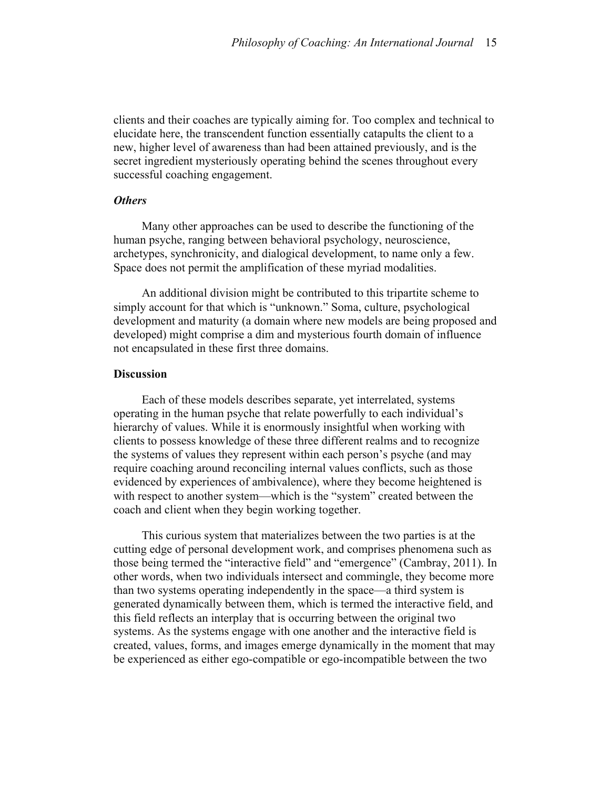clients and their coaches are typically aiming for. Too complex and technical to elucidate here, the transcendent function essentially catapults the client to a new, higher level of awareness than had been attained previously, and is the secret ingredient mysteriously operating behind the scenes throughout every successful coaching engagement.

#### *Others*

Many other approaches can be used to describe the functioning of the human psyche, ranging between behavioral psychology, neuroscience, archetypes, synchronicity, and dialogical development, to name only a few. Space does not permit the amplification of these myriad modalities.

An additional division might be contributed to this tripartite scheme to simply account for that which is "unknown." Soma, culture, psychological development and maturity (a domain where new models are being proposed and developed) might comprise a dim and mysterious fourth domain of influence not encapsulated in these first three domains.

#### **Discussion**

Each of these models describes separate, yet interrelated, systems operating in the human psyche that relate powerfully to each individual's hierarchy of values. While it is enormously insightful when working with clients to possess knowledge of these three different realms and to recognize the systems of values they represent within each person's psyche (and may require coaching around reconciling internal values conflicts, such as those evidenced by experiences of ambivalence), where they become heightened is with respect to another system—which is the "system" created between the coach and client when they begin working together.

This curious system that materializes between the two parties is at the cutting edge of personal development work, and comprises phenomena such as those being termed the "interactive field" and "emergence" (Cambray, 2011). In other words, when two individuals intersect and commingle, they become more than two systems operating independently in the space—a third system is generated dynamically between them, which is termed the interactive field, and this field reflects an interplay that is occurring between the original two systems. As the systems engage with one another and the interactive field is created, values, forms, and images emerge dynamically in the moment that may be experienced as either ego-compatible or ego-incompatible between the two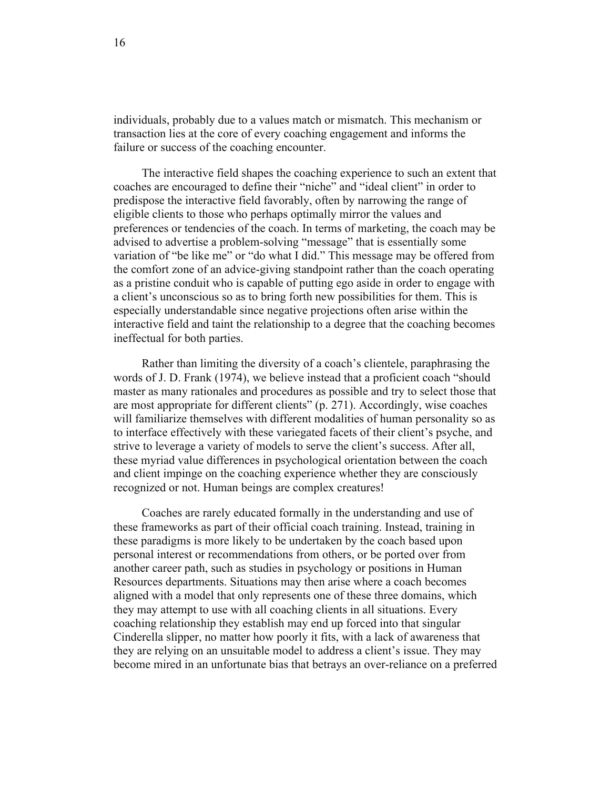individuals, probably due to a values match or mismatch. This mechanism or transaction lies at the core of every coaching engagement and informs the failure or success of the coaching encounter.

The interactive field shapes the coaching experience to such an extent that coaches are encouraged to define their "niche" and "ideal client" in order to predispose the interactive field favorably, often by narrowing the range of eligible clients to those who perhaps optimally mirror the values and preferences or tendencies of the coach. In terms of marketing, the coach may be advised to advertise a problem-solving "message" that is essentially some variation of "be like me" or "do what I did." This message may be offered from the comfort zone of an advice-giving standpoint rather than the coach operating as a pristine conduit who is capable of putting ego aside in order to engage with a client's unconscious so as to bring forth new possibilities for them. This is especially understandable since negative projections often arise within the interactive field and taint the relationship to a degree that the coaching becomes ineffectual for both parties.

Rather than limiting the diversity of a coach's clientele, paraphrasing the words of J. D. Frank (1974), we believe instead that a proficient coach "should master as many rationales and procedures as possible and try to select those that are most appropriate for different clients" (p. 271). Accordingly, wise coaches will familiarize themselves with different modalities of human personality so as to interface effectively with these variegated facets of their client's psyche, and strive to leverage a variety of models to serve the client's success. After all, these myriad value differences in psychological orientation between the coach and client impinge on the coaching experience whether they are consciously recognized or not. Human beings are complex creatures!

Coaches are rarely educated formally in the understanding and use of these frameworks as part of their official coach training. Instead, training in these paradigms is more likely to be undertaken by the coach based upon personal interest or recommendations from others, or be ported over from another career path, such as studies in psychology or positions in Human Resources departments. Situations may then arise where a coach becomes aligned with a model that only represents one of these three domains, which they may attempt to use with all coaching clients in all situations. Every coaching relationship they establish may end up forced into that singular Cinderella slipper, no matter how poorly it fits, with a lack of awareness that they are relying on an unsuitable model to address a client's issue. They may become mired in an unfortunate bias that betrays an over-reliance on a preferred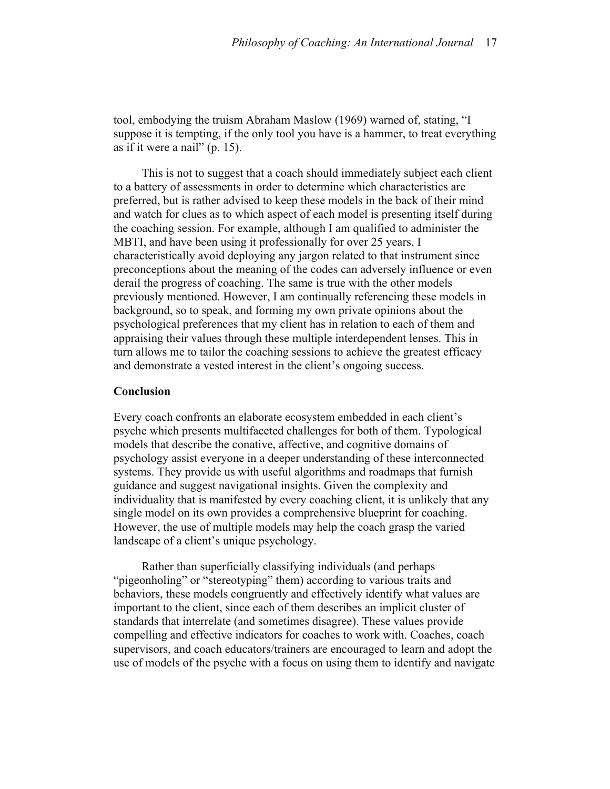tool, embodying the truism Abraham Maslow (1969) warned of, stating, "I suppose it is tempting, if the only tool you have is a hammer, to treat everything as if it were a nail" (p. 15).

This is not to suggest that a coach should immediately subject each client to a battery of assessments in order to determine which characteristics are preferred, but is rather advised to keep these models in the back of their mind and watch for clues as to which aspect of each model is presenting itself during the coaching session. For example, although I am qualified to administer the MBTI, and have been using it professionally for over 25 years, I characteristically avoid deploying any jargon related to that instrument since preconceptions about the meaning of the codes can adversely influence or even derail the progress of coaching. The same is true with the other models previously mentioned. However, I am continually referencing these models in background, so to speak, and forming my own private opinions about the psychological preferences that my client has in relation to each of them and appraising their values through these multiple interdependent lenses. This in turn allows me to tailor the coaching sessions to achieve the greatest efficacy and demonstrate a vested interest in the client's ongoing success.

#### **Conclusion**

Every coach confronts an elaborate ecosystem embedded in each client's psyche which presents multifaceted challenges for both of them. Typological models that describe the conative, affective, and cognitive domains of psychology assist everyone in a deeper understanding of these interconnected systems. They provide us with useful algorithms and roadmaps that furnish guidance and suggest navigational insights. Given the complexity and individuality that is manifested by every coaching client, it is unlikely that any single model on its own provides a comprehensive blueprint for coaching. However, the use of multiple models may help the coach grasp the varied landscape of a client's unique psychology.

Rather than superficially classifying individuals (and perhaps "pigeonholing" or "stereotyping" them) according to various traits and behaviors, these models congruently and effectively identify what values are important to the client, since each of them describes an implicit cluster of standards that interrelate (and sometimes disagree). These values provide compelling and effective indicators for coaches to work with. Coaches, coach supervisors, and coach educators/trainers are encouraged to learn and adopt the use of models of the psyche with a focus on using them to identify and navigate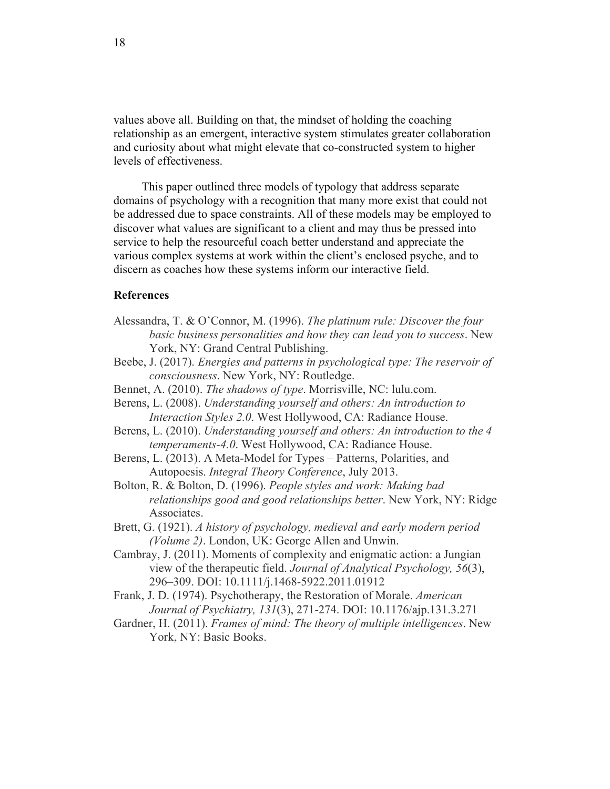values above all. Building on that, the mindset of holding the coaching relationship as an emergent, interactive system stimulates greater collaboration and curiosity about what might elevate that co-constructed system to higher levels of effectiveness.

This paper outlined three models of typology that address separate domains of psychology with a recognition that many more exist that could not be addressed due to space constraints. All of these models may be employed to discover what values are significant to a client and may thus be pressed into service to help the resourceful coach better understand and appreciate the various complex systems at work within the client's enclosed psyche, and to discern as coaches how these systems inform our interactive field.

## **References**

- Alessandra, T. & O'Connor, M. (1996). *The platinum rule: Discover the four basic business personalities and how they can lead you to success*. New York, NY: Grand Central Publishing.
- Beebe, J. (2017). *Energies and patterns in psychological type: The reservoir of consciousness*. New York, NY: Routledge.
- Bennet, A. (2010). *The shadows of type*. Morrisville, NC: lulu.com.
- Berens, L. (2008). *Understanding yourself and others: An introduction to Interaction Styles 2.0*. West Hollywood, CA: Radiance House.
- Berens, L. (2010). *Understanding yourself and others: An introduction to the 4 temperaments-4.0*. West Hollywood, CA: Radiance House.
- Berens, L. (2013). A Meta-Model for Types Patterns, Polarities, and Autopoesis. *Integral Theory Conference*, July 2013.
- Bolton, R. & Bolton, D. (1996). *People styles and work: Making bad relationships good and good relationships better*. New York, NY: Ridge Associates.
- Brett, G. (1921). *A history of psychology, medieval and early modern period (Volume 2)*. London, UK: George Allen and Unwin.
- Cambray, J. (2011). Moments of complexity and enigmatic action: a Jungian view of the therapeutic field. *Journal of Analytical Psychology, 56*(3), 296–309. DOI: 10.1111/j.1468-5922.2011.01912
- Frank, J. D. (1974). Psychotherapy, the Restoration of Morale. *American Journal of Psychiatry, 131*(3), 271-274. DOI: 10.1176/ajp.131.3.271
- Gardner, H. (2011). *Frames of mind: The theory of multiple intelligences*. New York, NY: Basic Books.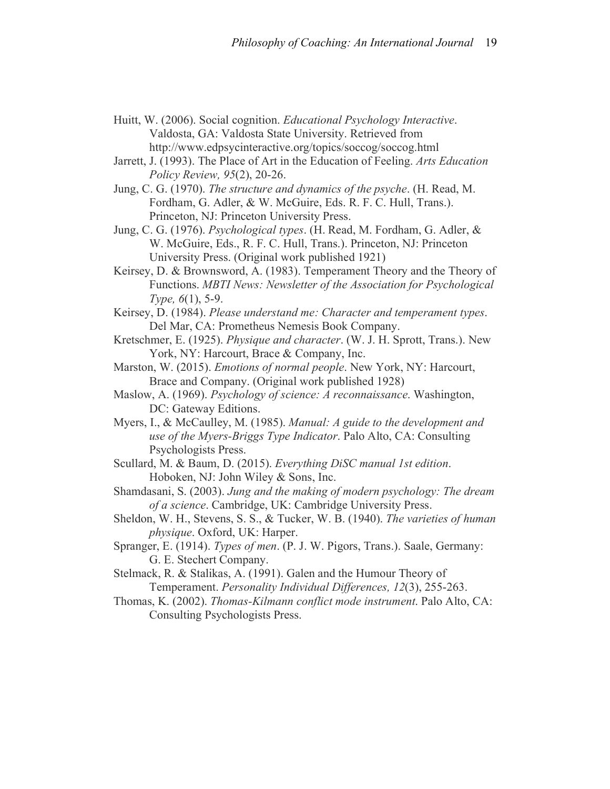- Huitt, W. (2006). Social cognition. *Educational Psychology Interactive*. Valdosta, GA: Valdosta State University. Retrieved from http://www.edpsycinteractive.org/topics/soccog/soccog.html
- Jarrett, J. (1993). The Place of Art in the Education of Feeling. *Arts Education Policy Review, 95*(2), 20-26.
- Jung, C. G. (1970). *The structure and dynamics of the psyche*. (H. Read, M. Fordham, G. Adler, & W. McGuire, Eds. R. F. C. Hull, Trans.). Princeton, NJ: Princeton University Press.
- Jung, C. G. (1976). *Psychological types*. (H. Read, M. Fordham, G. Adler, & W. McGuire, Eds., R. F. C. Hull, Trans.). Princeton, NJ: Princeton University Press. (Original work published 1921)
- Keirsey, D. & Brownsword, A. (1983). Temperament Theory and the Theory of Functions. *MBTI News: Newsletter of the Association for Psychological Type, 6*(1), 5-9.
- Keirsey, D. (1984). *Please understand me: Character and temperament types*. Del Mar, CA: Prometheus Nemesis Book Company.
- Kretschmer, E. (1925). *Physique and character*. (W. J. H. Sprott, Trans.). New York, NY: Harcourt, Brace & Company, Inc.
- Marston, W. (2015). *Emotions of normal people*. New York, NY: Harcourt, Brace and Company. (Original work published 1928)
- Maslow, A. (1969). *Psychology of science: A reconnaissance*. Washington, DC: Gateway Editions.
- Myers, I., & McCaulley, M. (1985). *Manual: A guide to the development and use of the Myers-Briggs Type Indicator*. Palo Alto, CA: Consulting Psychologists Press.
- Scullard, M. & Baum, D. (2015). *Everything DiSC manual 1st edition*. Hoboken, NJ: John Wiley & Sons, Inc.
- Shamdasani, S. (2003). *Jung and the making of modern psychology: The dream of a science*. Cambridge, UK: Cambridge University Press.
- Sheldon, W. H., Stevens, S. S., & Tucker, W. B. (1940). *The varieties of human physique*. Oxford, UK: Harper.
- Spranger, E. (1914). *Types of men*. (P. J. W. Pigors, Trans.). Saale, Germany: G. E. Stechert Company.
- Stelmack, R. & Stalikas, A. (1991). Galen and the Humour Theory of Temperament. *Personality Individual Differences, 12*(3), 255-263.
- Thomas, K. (2002). *Thomas-Kilmann conflict mode instrument*. Palo Alto, CA: Consulting Psychologists Press.